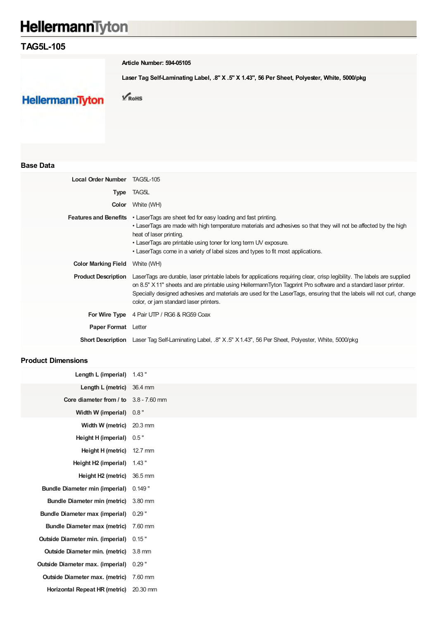# HellermannTyton

## **TAG5L-105**

**Article Number: 594-05105**

**Laser Tag Self-Laminating Label, .8" X .5" X 1.43", 56 Per Sheet, Polyester, White, 5000/pkg**

**HellermannTyton** 

 $\sqrt{\text{RoHS}}$ 

#### **Base Data**

| Local Order Number TAG5L-105 |                                                                                                                                                                                                                                                                                                                                                                                                                  |
|------------------------------|------------------------------------------------------------------------------------------------------------------------------------------------------------------------------------------------------------------------------------------------------------------------------------------------------------------------------------------------------------------------------------------------------------------|
| <b>Type</b>                  | TAG5L                                                                                                                                                                                                                                                                                                                                                                                                            |
| Color                        | White (WH)                                                                                                                                                                                                                                                                                                                                                                                                       |
|                              | <b>Features and Benefits</b> . LaserTags are sheet fed for easy loading and fast printing.<br>• LaserTags are made with high temperature materials and adhesives so that they will not be affected by the high<br>heat of laser printing.<br>• LaserTags are printable using toner for long term UV exposure.<br>• LaserTags come in a variety of label sizes and types to fit most applications.                |
| <b>Color Marking Field</b>   | White (WH)                                                                                                                                                                                                                                                                                                                                                                                                       |
| <b>Product Description</b>   | LaserTags are durable, laser printable labels for applications requiring clear, crisp legibility. The labels are supplied<br>on 8.5" X 11" sheets and are printable using HellermannTyton Tagprint Pro software and a standard laser printer.<br>Specially designed adhesives and materials are used for the LaserTags, ensuring that the labels will not curl, change<br>color, or jam standard laser printers. |
|                              | For Wire Type 4 Pair UTP / RG6 & RG59 Coax                                                                                                                                                                                                                                                                                                                                                                       |
| <b>Paper Format</b> Letter   |                                                                                                                                                                                                                                                                                                                                                                                                                  |
|                              | <b>Short Description</b> Laser Tag Self-Laminating Label, .8" X.5" X1.43", 56 Per Sheet, Polyester, White, 5000/pkg                                                                                                                                                                                                                                                                                              |

#### **Product Dimensions**

| Length L (imperial)                       | 1.43"            |
|-------------------------------------------|------------------|
| Length L (metric)                         | 36.4 mm          |
| Core diameter from $/$ to $3.8 - 7.60$ mm |                  |
| Width W (imperial)                        | 0.8"             |
| Width W (metric)                          | 20.3 mm          |
| Height H (imperial)                       | 0.5"             |
| Height H (metric)                         | 12.7 mm          |
| Height H2 (imperial)                      | 1.43"            |
| Height H <sub>2</sub> (metric)            | 36.5 mm          |
| <b>Bundle Diameter min (imperial)</b>     | $0.149$ "        |
| <b>Bundle Diameter min (metric)</b>       | 3.80 mm          |
| <b>Bundle Diameter max (imperial)</b>     | $0.29$ "         |
| <b>Bundle Diameter max (metric)</b>       | 7.60 mm          |
| <b>Outside Diameter min. (imperial)</b>   | 0.15"            |
| <b>Outside Diameter min. (metric)</b>     | $3.8 \text{ mm}$ |
| <b>Outside Diameter max. (imperial)</b>   | $0.29$ "         |
| <b>Outside Diameter max. (metric)</b>     | 7.60 mm          |
| Horizontal Repeat HR (metric)             | 20.30 mm         |